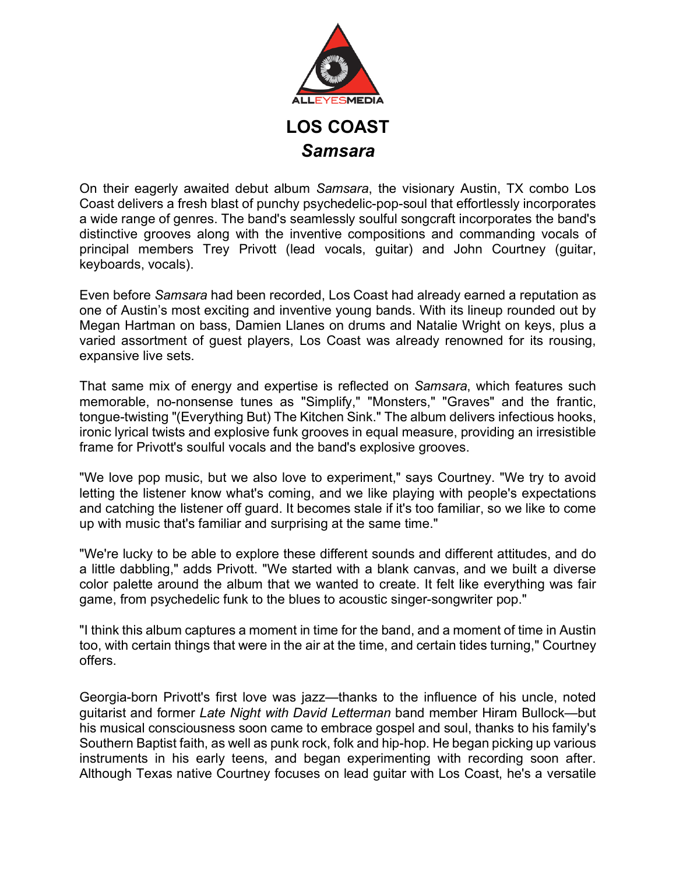

On their eagerly awaited debut album *Samsara*, the visionary Austin, TX combo Los Coast delivers a fresh blast of punchy psychedelic-pop-soul that effortlessly incorporates a wide range of genres. The band's seamlessly soulful songcraft incorporates the band's distinctive grooves along with the inventive compositions and commanding vocals of principal members Trey Privott (lead vocals, guitar) and John Courtney (guitar, keyboards, vocals).

Even before *Samsara* had been recorded, Los Coast had already earned a reputation as one of Austin's most exciting and inventive young bands. With its lineup rounded out by Megan Hartman on bass, Damien Llanes on drums and Natalie Wright on keys, plus a varied assortment of guest players, Los Coast was already renowned for its rousing, expansive live sets.

That same mix of energy and expertise is reflected on *Samsara*, which features such memorable, no-nonsense tunes as "Simplify," "Monsters," "Graves" and the frantic, tongue-twisting "(Everything But) The Kitchen Sink." The album delivers infectious hooks, ironic lyrical twists and explosive funk grooves in equal measure, providing an irresistible frame for Privott's soulful vocals and the band's explosive grooves.

"We love pop music, but we also love to experiment," says Courtney. "We try to avoid letting the listener know what's coming, and we like playing with people's expectations and catching the listener off guard. It becomes stale if it's too familiar, so we like to come up with music that's familiar and surprising at the same time."

"We're lucky to be able to explore these different sounds and different attitudes, and do a little dabbling," adds Privott. "We started with a blank canvas, and we built a diverse color palette around the album that we wanted to create. It felt like everything was fair game, from psychedelic funk to the blues to acoustic singer-songwriter pop."

"I think this album captures a moment in time for the band, and a moment of time in Austin too, with certain things that were in the air at the time, and certain tides turning," Courtney offers.

Georgia-born Privott's first love was jazz—thanks to the influence of his uncle, noted guitarist and former *Late Night with David Letterman* band member Hiram Bullock—but his musical consciousness soon came to embrace gospel and soul, thanks to his family's Southern Baptist faith, as well as punk rock, folk and hip-hop. He began picking up various instruments in his early teens, and began experimenting with recording soon after. Although Texas native Courtney focuses on lead guitar with Los Coast, he's a versatile